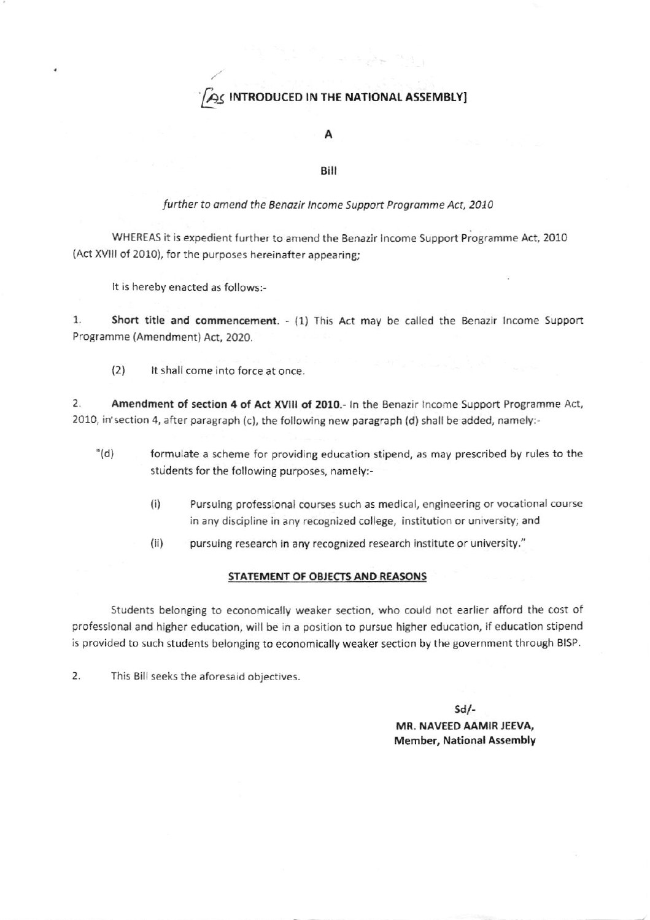# $\beta$  introduced in the national assembly

#### А

## Bilt

## further to amend the Benazir Income Support Programme Act, 2010

WHEREAS it is expedient further to amend the Benazir income Support Programme Act, 2010 (Act XVIII of 2010), for the purposes hereinafter appearing;

It is hereby enacted as follows:-

1. Short title and commencement. - (1) This Act may be called the Benazir Income Support Programme (Amendment) Act, 2020.

(2) It shall come into force at once.

2. Amendment of section 4 of Act XVIII of 2010.- In the Benazir Income Support Programme Act, 2010, in' section 4, after paragraph (c), the following new paragraph (d) shall be added, namely:-

- '(d) formulate a scheme for providing education stipend, as may prescribed by rules to the students for the following purposes, namely:
	- li) Pursuing prolessional courses such as medical, engineering or vocational course in any discipline in any recognized college, institution or university; and
	- (ii) pursuing research in any recognized research institute or university."

#### STATEMENT OF OBJECTS AND REASONS

Students belonging to economically weaker section, who could not earlier afford the cost of professional and higher education, will be in a position to pursue higher education, if education stipend is provided to such students belonging to economically weaker section by the government through BISP.

2. This Eill seeks the aforesaid objectives.

sd/- MR. NAVEEO AAMIR JEEVA, Member, National Assembly